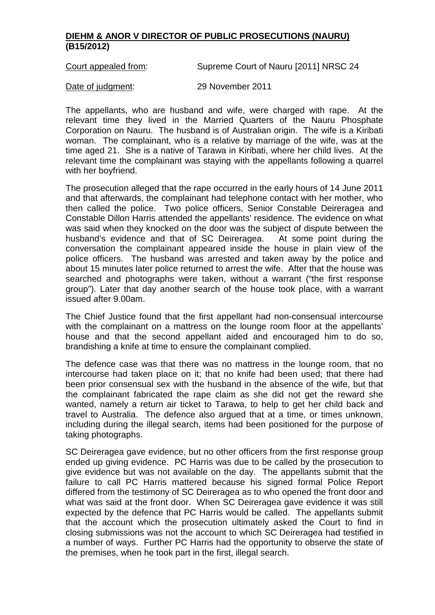## **DIEHM & ANOR V DIRECTOR OF PUBLIC PROSECUTIONS (NAURU) (B15/2012)**

Court appealed from: Supreme Court of Nauru [2011] NRSC 24

Date of judgment: 29 November 2011

The appellants, who are husband and wife, were charged with rape. At the relevant time they lived in the Married Quarters of the Nauru Phosphate Corporation on Nauru. The husband is of Australian origin. The wife is a Kiribati woman. The complainant, who is a relative by marriage of the wife, was at the time aged 21. She is a native of Tarawa in Kiribati, where her child lives. At the relevant time the complainant was staying with the appellants following a quarrel with her boyfriend.

The prosecution alleged that the rape occurred in the early hours of 14 June 2011 and that afterwards, the complainant had telephone contact with her mother, who then called the police. Two police officers, Senior Constable Deireragea and Constable Dillon Harris attended the appellants' residence. The evidence on what was said when they knocked on the door was the subject of dispute between the husband's evidence and that of SC Deireragea. At some point during the husband's evidence and that of SC Deireragea. conversation the complainant appeared inside the house in plain view of the police officers. The husband was arrested and taken away by the police and about 15 minutes later police returned to arrest the wife. After that the house was searched and photographs were taken, without a warrant ("the first response group"). Later that day another search of the house took place, with a warrant issued after 9.00am.

The Chief Justice found that the first appellant had non-consensual intercourse with the complainant on a mattress on the lounge room floor at the appellants' house and that the second appellant aided and encouraged him to do so, brandishing a knife at time to ensure the complainant complied.

The defence case was that there was no mattress in the lounge room, that no intercourse had taken place on it; that no knife had been used; that there had been prior consensual sex with the husband in the absence of the wife, but that the complainant fabricated the rape claim as she did not get the reward she wanted, namely a return air ticket to Tarawa, to help to get her child back and travel to Australia. The defence also argued that at a time, or times unknown, including during the illegal search, items had been positioned for the purpose of taking photographs.

SC Deireragea gave evidence, but no other officers from the first response group ended up giving evidence. PC Harris was due to be called by the prosecution to give evidence but was not available on the day. The appellants submit that the failure to call PC Harris mattered because his signed formal Police Report differed from the testimony of SC Deireragea as to who opened the front door and what was said at the front door. When SC Deireragea gave evidence it was still expected by the defence that PC Harris would be called. The appellants submit that the account which the prosecution ultimately asked the Court to find in closing submissions was not the account to which SC Deireragea had testified in a number of ways. Further PC Harris had the opportunity to observe the state of the premises, when he took part in the first, illegal search.